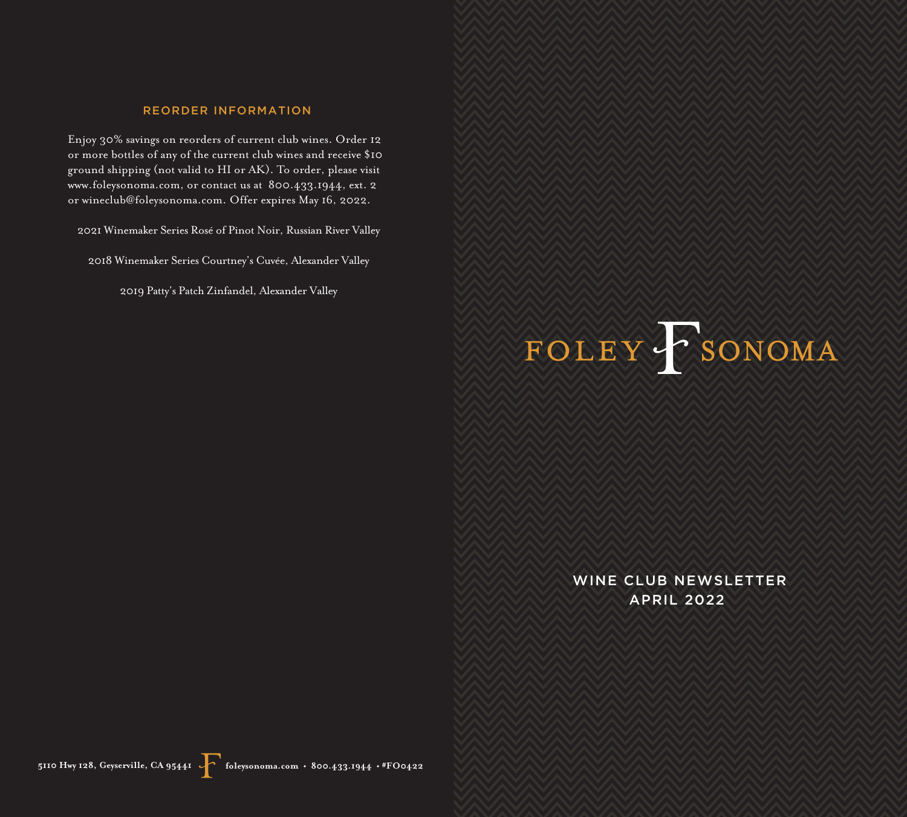## REORDER INFORMATION

Enjoy 30% savings on reorders of current club wines. Order 12 or more bottles of any of the current club wines and receive \$10 ground shipping (not valid to HI or AK). To order, please visit www.foleysonoma.com, or contact us at 800.433.1944, ext. 2 or wineclub@foleysonoma.com. Offer expires May 16, 2022.

2021 Winemaker Series Rosé of Pinot Noir, Russian River Valley

2018 Winemaker Series Courtney's Cuvée, Alexander Valley

2019 Patty's Patch Zinfandel, Alexander Valley

# FOLEY FSONOMA

WINE CLUB NEWSLETTER APRIL 2022

**5110 Hwy 128, Geyserville, CA 95441 foleysonoma.com • 800.433.1944 • #FO0422**